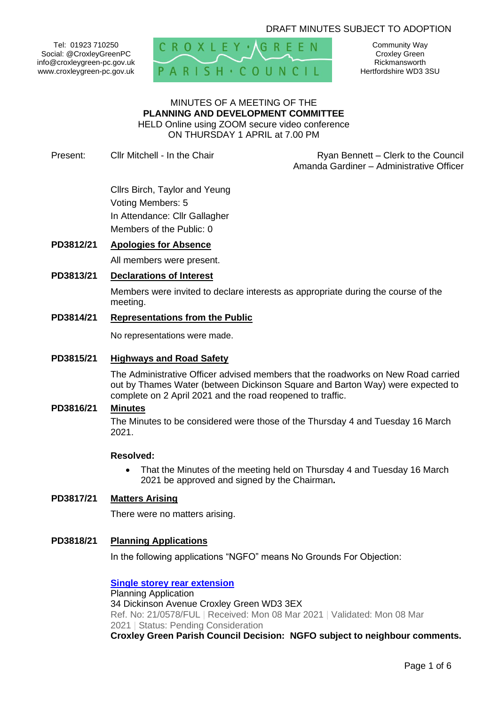## DRAFT MINUTES SUBJECT TO ADOPTION

Tel: 01923 710250 Social: @CroxleyGreenPC info@croxleygreen-pc.gov.uk www.croxleygreen-pc.gov.uk



Community Way Croxley Green Rickmansworth Hertfordshire WD3 3SU

#### MINUTES OF A MEETING OF THE **PLANNING AND DEVELOPMENT COMMITTEE** HELD Online using ZOOM secure video conference ON THURSDAY 1 APRIL at 7.00 PM

Present: Cllr Mitchell - In the Chair **Ryan Bennett** – Clerk to the Council Amanda Gardiner – Administrative Officer

> Cllrs Birch, Taylor and Yeung Voting Members: 5 In Attendance: Cllr Gallagher Members of the Public: 0

#### **PD3812/21 Apologies for Absence**

All members were present.

#### **PD3813/21 Declarations of Interest**

Members were invited to declare interests as appropriate during the course of the meeting.

#### **PD3814/21 Representations from the Public**

No representations were made.

#### **PD3815/21 Highways and Road Safety**

The Administrative Officer advised members that the roadworks on New Road carried out by Thames Water (between Dickinson Square and Barton Way) were expected to complete on 2 April 2021 and the road reopened to traffic.

## **PD3816/21 Minutes**

The Minutes to be considered were those of the Thursday 4 and Tuesday 16 March 2021.

#### **Resolved:**

• That the Minutes of the meeting held on Thursday 4 and Tuesday 16 March 2021 be approved and signed by the Chairman**.**

## **PD3817/21 Matters Arising**

There were no matters arising.

#### **PD3818/21 Planning Applications**

In the following applications "NGFO" means No Grounds For Objection:

**[Single storey rear extension](https://www3.threerivers.gov.uk/online-applications/applicationDetails.do?activeTab=summary&keyVal=QPJFMQQFMLW00&prevPage=inTray)** Planning Application 34 Dickinson Avenue Croxley Green WD3 3EX Ref. No: 21/0578/FUL | Received: Mon 08 Mar 2021 | Validated: Mon 08 Mar 2021 | Status: Pending Consideration **Croxley Green Parish Council Decision: NGFO subject to neighbour comments.**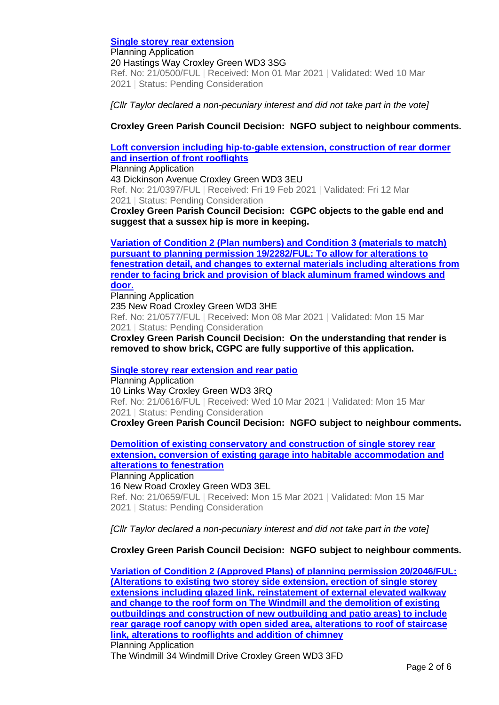**[Single storey rear extension](https://www3.threerivers.gov.uk/online-applications/applicationDetails.do?activeTab=summary&keyVal=QP6S1LQFMI800&prevPage=inTray)**

Planning Application 20 Hastings Way Croxley Green WD3 3SG Ref. No: 21/0500/FUL | Received: Mon 01 Mar 2021 | Validated: Wed 10 Mar 2021 | Status: Pending Consideration

*[Cllr Taylor declared a non-pecuniary interest and did not take part in the vote]*

**Croxley Green Parish Council Decision: NGFO subject to neighbour comments.**

## **[Loft conversion including hip-to-gable extension, construction of rear dormer](https://www3.threerivers.gov.uk/online-applications/applicationDetails.do?activeTab=summary&keyVal=QORNKPQFMDQ00&prevPage=inTray)  [and insertion of front rooflights](https://www3.threerivers.gov.uk/online-applications/applicationDetails.do?activeTab=summary&keyVal=QORNKPQFMDQ00&prevPage=inTray)**

Planning Application

43 Dickinson Avenue Croxley Green WD3 3EU Ref. No: 21/0397/FUL | Received: Fri 19 Feb 2021 | Validated: Fri 12 Mar 2021 | Status: Pending Consideration

**Croxley Green Parish Council Decision: CGPC objects to the gable end and suggest that a sussex hip is more in keeping.**

**[Variation of Condition 2 \(Plan numbers\) and Condition 3 \(materials to match\)](https://www3.threerivers.gov.uk/online-applications/applicationDetails.do?activeTab=summary&keyVal=QPJFMCQFMLU00&prevPage=inTray)  [pursuant to planning permission 19/2282/FUL: To allow for alterations to](https://www3.threerivers.gov.uk/online-applications/applicationDetails.do?activeTab=summary&keyVal=QPJFMCQFMLU00&prevPage=inTray)  [fenestration detail, and changes to external materials including alterations from](https://www3.threerivers.gov.uk/online-applications/applicationDetails.do?activeTab=summary&keyVal=QPJFMCQFMLU00&prevPage=inTray)  [render to facing brick and provision of black aluminum framed windows and](https://www3.threerivers.gov.uk/online-applications/applicationDetails.do?activeTab=summary&keyVal=QPJFMCQFMLU00&prevPage=inTray)  [door.](https://www3.threerivers.gov.uk/online-applications/applicationDetails.do?activeTab=summary&keyVal=QPJFMCQFMLU00&prevPage=inTray)**

Planning Application 235 New Road Croxley Green WD3 3HE Ref. No: 21/0577/FUL | Received: Mon 08 Mar 2021 | Validated: Mon 15 Mar 2021 | Status: Pending Consideration

**Croxley Green Parish Council Decision: On the understanding that render is removed to show brick, CGPC are fully supportive of this application.**

**[Single storey rear extension and rear patio](https://www3.threerivers.gov.uk/online-applications/applicationDetails.do?activeTab=summary&keyVal=QPR5G3QFMNN00&prevPage=inTray)**

Planning Application 10 Links Way Croxley Green WD3 3RQ Ref. No: 21/0616/FUL | Received: Wed 10 Mar 2021 | Validated: Mon 15 Mar 2021 | Status: Pending Consideration

**Croxley Green Parish Council Decision: NGFO subject to neighbour comments.**

**[Demolition of existing conservatory and construction of single storey rear](https://www3.threerivers.gov.uk/online-applications/applicationDetails.do?activeTab=summary&keyVal=QPWE9EQFMQ100&prevPage=inTray)  [extension, conversion of existing garage into habitable accommodation and](https://www3.threerivers.gov.uk/online-applications/applicationDetails.do?activeTab=summary&keyVal=QPWE9EQFMQ100&prevPage=inTray)  [alterations to fenestration](https://www3.threerivers.gov.uk/online-applications/applicationDetails.do?activeTab=summary&keyVal=QPWE9EQFMQ100&prevPage=inTray)**

Planning Application

16 New Road Croxley Green WD3 3EL Ref. No: 21/0659/FUL | Received: Mon 15 Mar 2021 | Validated: Mon 15 Mar 2021 | Status: Pending Consideration

*[Cllr Taylor declared a non-pecuniary interest and did not take part in the vote]*

**Croxley Green Parish Council Decision: NGFO subject to neighbour comments.**

**[Variation of Condition 2 \(Approved Plans\) of planning permission 20/2046/FUL:](https://www3.threerivers.gov.uk/online-applications/applicationDetails.do?activeTab=summary&keyVal=QPCC3OQFMJO00&prevPage=inTray)  [\(Alterations to existing two storey side extension, erection of single storey](https://www3.threerivers.gov.uk/online-applications/applicationDetails.do?activeTab=summary&keyVal=QPCC3OQFMJO00&prevPage=inTray)  [extensions including glazed link, reinstatement of external elevated walkway](https://www3.threerivers.gov.uk/online-applications/applicationDetails.do?activeTab=summary&keyVal=QPCC3OQFMJO00&prevPage=inTray)  [and change to the roof form on The Windmill and the demolition of existing](https://www3.threerivers.gov.uk/online-applications/applicationDetails.do?activeTab=summary&keyVal=QPCC3OQFMJO00&prevPage=inTray)  [outbuildings and construction of new outbuilding and patio areas\) to include](https://www3.threerivers.gov.uk/online-applications/applicationDetails.do?activeTab=summary&keyVal=QPCC3OQFMJO00&prevPage=inTray)  [rear garage roof canopy with open sided area, alterations to roof of staircase](https://www3.threerivers.gov.uk/online-applications/applicationDetails.do?activeTab=summary&keyVal=QPCC3OQFMJO00&prevPage=inTray)  [link, alterations to rooflights and addition of chimney](https://www3.threerivers.gov.uk/online-applications/applicationDetails.do?activeTab=summary&keyVal=QPCC3OQFMJO00&prevPage=inTray)** Planning Application

The Windmill 34 Windmill Drive Croxley Green WD3 3FD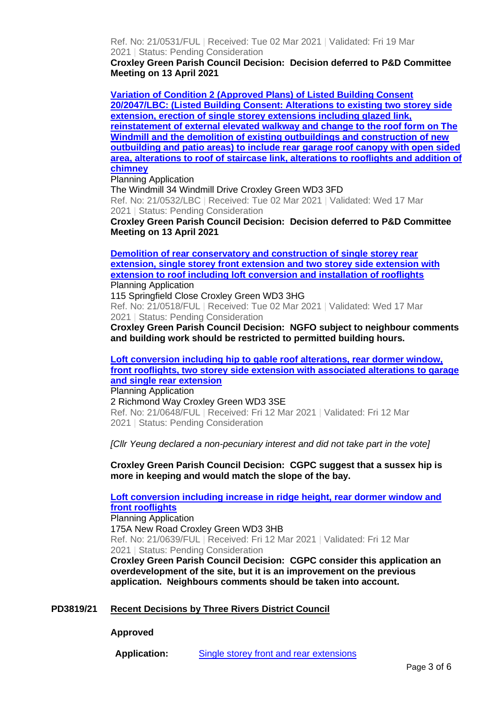Ref. No: 21/0531/FUL | Received: Tue 02 Mar 2021 | Validated: Fri 19 Mar 2021 | Status: Pending Consideration

**Croxley Green Parish Council Decision: Decision deferred to P&D Committee Meeting on 13 April 2021**

**[Variation of Condition 2 \(Approved Plans\) of Listed Building Consent](https://www3.threerivers.gov.uk/online-applications/applicationDetails.do?activeTab=summary&keyVal=QPCC4KQFMJP00&prevPage=inTray)  [20/2047/LBC: \(Listed Building Consent: Alterations to existing two storey side](https://www3.threerivers.gov.uk/online-applications/applicationDetails.do?activeTab=summary&keyVal=QPCC4KQFMJP00&prevPage=inTray)  [extension, erection of single storey extensions including glazed link,](https://www3.threerivers.gov.uk/online-applications/applicationDetails.do?activeTab=summary&keyVal=QPCC4KQFMJP00&prevPage=inTray)  [reinstatement of external elevated walkway and change to the roof form on The](https://www3.threerivers.gov.uk/online-applications/applicationDetails.do?activeTab=summary&keyVal=QPCC4KQFMJP00&prevPage=inTray)  [Windmill and the demolition of existing outbuildings and construction of new](https://www3.threerivers.gov.uk/online-applications/applicationDetails.do?activeTab=summary&keyVal=QPCC4KQFMJP00&prevPage=inTray)  [outbuilding and patio areas\) to include rear garage roof canopy with open sided](https://www3.threerivers.gov.uk/online-applications/applicationDetails.do?activeTab=summary&keyVal=QPCC4KQFMJP00&prevPage=inTray)  [area, alterations to roof of staircase link, alterations to rooflights and addition of](https://www3.threerivers.gov.uk/online-applications/applicationDetails.do?activeTab=summary&keyVal=QPCC4KQFMJP00&prevPage=inTray)  [chimney](https://www3.threerivers.gov.uk/online-applications/applicationDetails.do?activeTab=summary&keyVal=QPCC4KQFMJP00&prevPage=inTray)**

Planning Application

The Windmill 34 Windmill Drive Croxley Green WD3 3FD Ref. No: 21/0532/LBC | Received: Tue 02 Mar 2021 | Validated: Wed 17 Mar 2021 | Status: Pending Consideration

**Croxley Green Parish Council Decision: Decision deferred to P&D Committee Meeting on 13 April 2021**

**[Demolition of rear conservatory and construction](https://www3.threerivers.gov.uk/online-applications/applicationDetails.do?activeTab=summary&keyVal=QPC15XQFMJ700&prevPage=inTray) of single storey rear [extension, single storey front extension and two storey side extension with](https://www3.threerivers.gov.uk/online-applications/applicationDetails.do?activeTab=summary&keyVal=QPC15XQFMJ700&prevPage=inTray)  [extension to roof including loft conversion and installation of rooflights](https://www3.threerivers.gov.uk/online-applications/applicationDetails.do?activeTab=summary&keyVal=QPC15XQFMJ700&prevPage=inTray)** Planning Application

115 Springfield Close Croxley Green WD3 3HG Ref. No: 21/0518/FUL | Received: Tue 02 Mar 2021 | Validated: Wed 17 Mar 2021 | Status: Pending Consideration

**Croxley Green Parish Council Decision: NGFO subject to neighbour comments and building work should be restricted to permitted building hours.**

**[Loft conversion including hip to gable roof alterations, rear dormer window,](https://www3.threerivers.gov.uk/online-applications/applicationDetails.do?activeTab=summary&keyVal=QPUJSMQFMPI00&prevPage=inTray)  [front rooflights, two storey side extension with associated alterations to garage](https://www3.threerivers.gov.uk/online-applications/applicationDetails.do?activeTab=summary&keyVal=QPUJSMQFMPI00&prevPage=inTray)  [and single rear extension](https://www3.threerivers.gov.uk/online-applications/applicationDetails.do?activeTab=summary&keyVal=QPUJSMQFMPI00&prevPage=inTray)**

Planning Application 2 Richmond Way Croxley Green WD3 3SE Ref. No: 21/0648/FUL | Received: Fri 12 Mar 2021 | Validated: Fri 12 Mar 2021 | Status: Pending Consideration

*[Cllr Yeung declared a non-pecuniary interest and did not take part in the vote]*

**Croxley Green Parish Council Decision: CGPC suggest that a sussex hip is more in keeping and would match the slope of the bay.**

**[Loft conversion including increase in ridge height, rear dormer window and](https://www3.threerivers.gov.uk/online-applications/applicationDetails.do?activeTab=summary&keyVal=QPUJPAQFMP000&prevPage=inTray)  [front rooflights](https://www3.threerivers.gov.uk/online-applications/applicationDetails.do?activeTab=summary&keyVal=QPUJPAQFMP000&prevPage=inTray)** Planning Application

175A New Road Croxley Green WD3 3HB Ref. No: 21/0639/FUL | Received: Fri 12 Mar 2021 | Validated: Fri 12 Mar 2021 | Status: Pending Consideration

**Croxley Green Parish Council Decision: CGPC consider this application an overdevelopment of the site, but it is an improvement on the previous application. Neighbours comments should be taken into account.**

### **PD3819/21 Recent Decisions by Three Rivers District Council**

**Approved**

**Application:** [Single storey front and rear extensions](https://www3.threerivers.gov.uk/online-applications/applicationDetails.do?activeTab=summary&keyVal=QMYUBYQFLXK00&prevPage=inTray)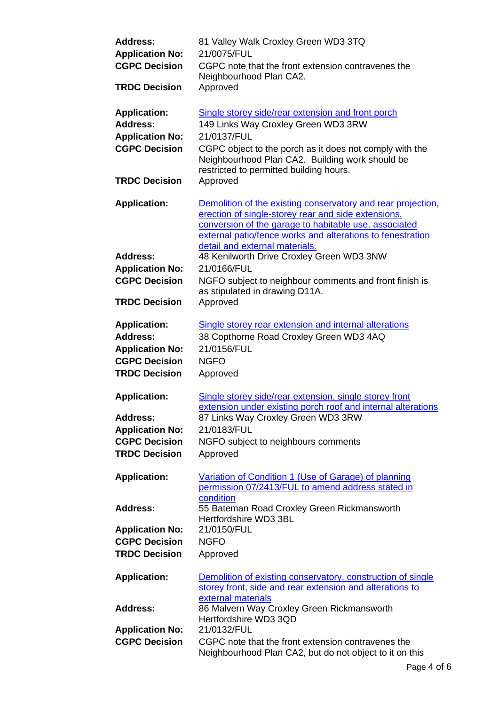| <b>Address:</b><br><b>Application No:</b>      | 81 Valley Walk Croxley Green WD3 3TQ<br>21/0075/FUL                                                                                                                                                                                                                          |
|------------------------------------------------|------------------------------------------------------------------------------------------------------------------------------------------------------------------------------------------------------------------------------------------------------------------------------|
| <b>CGPC Decision</b>                           | CGPC note that the front extension contravenes the<br>Neighbourhood Plan CA2.                                                                                                                                                                                                |
| <b>TRDC Decision</b>                           | Approved                                                                                                                                                                                                                                                                     |
| <b>Application:</b>                            | Single storey side/rear extension and front porch                                                                                                                                                                                                                            |
| <b>Address:</b>                                | 149 Links Way Croxley Green WD3 3RW                                                                                                                                                                                                                                          |
| <b>Application No:</b>                         | 21/0137/FUL                                                                                                                                                                                                                                                                  |
| <b>CGPC Decision</b>                           | CGPC object to the porch as it does not comply with the<br>Neighbourhood Plan CA2. Building work should be<br>restricted to permitted building hours.                                                                                                                        |
| <b>TRDC Decision</b>                           | Approved                                                                                                                                                                                                                                                                     |
| <b>Application:</b>                            | Demolition of the existing conservatory and rear projection,<br>erection of single-storey rear and side extensions,<br>conversion of the garage to habitable use, associated<br>external patio/fence works and alterations to fenestration<br>detail and external materials. |
| <b>Address:</b>                                | 48 Kenilworth Drive Croxley Green WD3 3NW                                                                                                                                                                                                                                    |
| <b>Application No:</b>                         | 21/0166/FUL                                                                                                                                                                                                                                                                  |
| <b>CGPC Decision</b>                           | NGFO subject to neighbour comments and front finish is                                                                                                                                                                                                                       |
|                                                | as stipulated in drawing D11A.                                                                                                                                                                                                                                               |
| <b>TRDC Decision</b>                           | Approved                                                                                                                                                                                                                                                                     |
| <b>Application:</b>                            | Single storey rear extension and internal alterations                                                                                                                                                                                                                        |
| <b>Address:</b>                                | 38 Copthorne Road Croxley Green WD3 4AQ                                                                                                                                                                                                                                      |
| <b>Application No:</b>                         | 21/0156/FUL                                                                                                                                                                                                                                                                  |
| <b>CGPC Decision</b>                           | <b>NGFO</b>                                                                                                                                                                                                                                                                  |
| <b>TRDC Decision</b>                           | Approved                                                                                                                                                                                                                                                                     |
| <b>Application:</b>                            | Single storey side/rear extension, single storey front                                                                                                                                                                                                                       |
|                                                | extension under existing porch roof and internal alterations                                                                                                                                                                                                                 |
| <b>Address:</b>                                | 87 Links Way Croxley Green WD3 3RW                                                                                                                                                                                                                                           |
| <b>Application No:</b>                         | 21/0183/FUL                                                                                                                                                                                                                                                                  |
| <b>CGPC Decision</b>                           | NGFO subject to neighbours comments                                                                                                                                                                                                                                          |
| <b>TRDC Decision</b>                           | Approved                                                                                                                                                                                                                                                                     |
| <b>Application:</b>                            | Variation of Condition 1 (Use of Garage) of planning                                                                                                                                                                                                                         |
|                                                | permission 07/2413/FUL to amend address stated in                                                                                                                                                                                                                            |
|                                                | condition                                                                                                                                                                                                                                                                    |
| <b>Address:</b>                                | 55 Bateman Road Croxley Green Rickmansworth                                                                                                                                                                                                                                  |
|                                                | Hertfordshire WD3 3BL<br>21/0150/FUL                                                                                                                                                                                                                                         |
| <b>Application No:</b><br><b>CGPC Decision</b> | <b>NGFO</b>                                                                                                                                                                                                                                                                  |
|                                                |                                                                                                                                                                                                                                                                              |
| <b>TRDC Decision</b>                           | Approved                                                                                                                                                                                                                                                                     |
| <b>Application:</b>                            | Demolition of existing conservatory, construction of single<br>storey front, side and rear extension and alterations to                                                                                                                                                      |
| <b>Address:</b>                                | external materials<br>86 Malvern Way Croxley Green Rickmansworth<br>Hertfordshire WD3 3QD                                                                                                                                                                                    |
| <b>Application No:</b>                         | 21/0132/FUL                                                                                                                                                                                                                                                                  |
| <b>CGPC Decision</b>                           | CGPC note that the front extension contravenes the<br>Neighbourhood Plan CA2, but do not object to it on this                                                                                                                                                                |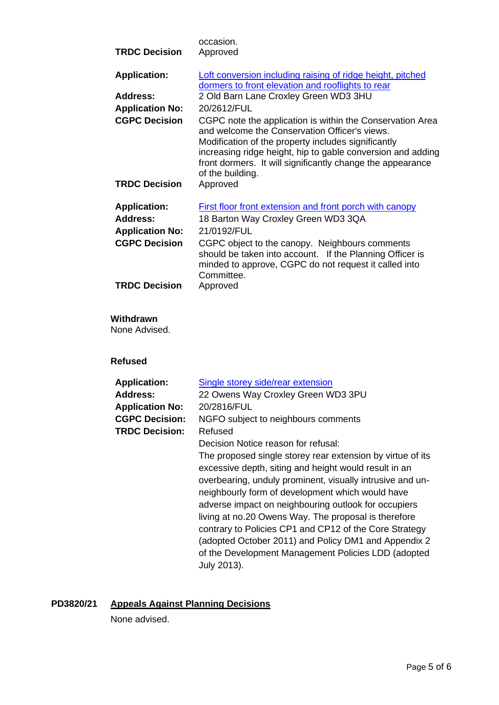|                        | occasion.                                                                                                                                                                                                                                                                                                          |
|------------------------|--------------------------------------------------------------------------------------------------------------------------------------------------------------------------------------------------------------------------------------------------------------------------------------------------------------------|
| <b>TRDC Decision</b>   | Approved                                                                                                                                                                                                                                                                                                           |
| <b>Application:</b>    | Loft conversion including raising of ridge height, pitched<br>dormers to front elevation and rooflights to rear                                                                                                                                                                                                    |
| <b>Address:</b>        | 2 Old Barn Lane Croxley Green WD3 3HU                                                                                                                                                                                                                                                                              |
| <b>Application No:</b> | 20/2612/FUL                                                                                                                                                                                                                                                                                                        |
| <b>CGPC Decision</b>   | CGPC note the application is within the Conservation Area<br>and welcome the Conservation Officer's views.<br>Modification of the property includes significantly<br>increasing ridge height, hip to gable conversion and adding<br>front dormers. It will significantly change the appearance<br>of the building. |
| <b>TRDC Decision</b>   | Approved                                                                                                                                                                                                                                                                                                           |
| <b>Application:</b>    | First floor front extension and front porch with canopy                                                                                                                                                                                                                                                            |
| <b>Address:</b>        | 18 Barton Way Croxley Green WD3 3QA                                                                                                                                                                                                                                                                                |
| <b>Application No:</b> | 21/0192/FUL                                                                                                                                                                                                                                                                                                        |
| <b>CGPC Decision</b>   | CGPC object to the canopy. Neighbours comments<br>should be taken into account. If the Planning Officer is<br>minded to approve, CGPC do not request it called into<br>Committee.                                                                                                                                  |
| <b>TRDC Decision</b>   | Approved                                                                                                                                                                                                                                                                                                           |

## **Withdrawn**

None Advised.

**Refused**

| <b>Application:</b>    | Single storey side/rear extension                          |
|------------------------|------------------------------------------------------------|
| <b>Address:</b>        | 22 Owens Way Croxley Green WD3 3PU                         |
| <b>Application No:</b> | 20/2816/FUL                                                |
| <b>CGPC Decision:</b>  | NGFO subject to neighbours comments                        |
| <b>TRDC Decision:</b>  | Refused                                                    |
|                        | Decision Notice reason for refusal:                        |
|                        | The proposed single storey rear extension by virtue of its |
|                        | excessive depth, siting and height would result in an      |
|                        | overbearing, unduly prominent, visually intrusive and un-  |
|                        | neighbourly form of development which would have           |
|                        | adverse impact on neighbouring outlook for occupiers       |
|                        | living at no.20 Owens Way. The proposal is therefore       |
|                        | contrary to Policies CP1 and CP12 of the Core Strategy     |
|                        | (adopted October 2011) and Policy DM1 and Appendix 2       |
|                        | of the Development Management Policies LDD (adopted        |
|                        | July 2013).                                                |

# **PD3820/21 Appeals Against Planning Decisions**

None advised.